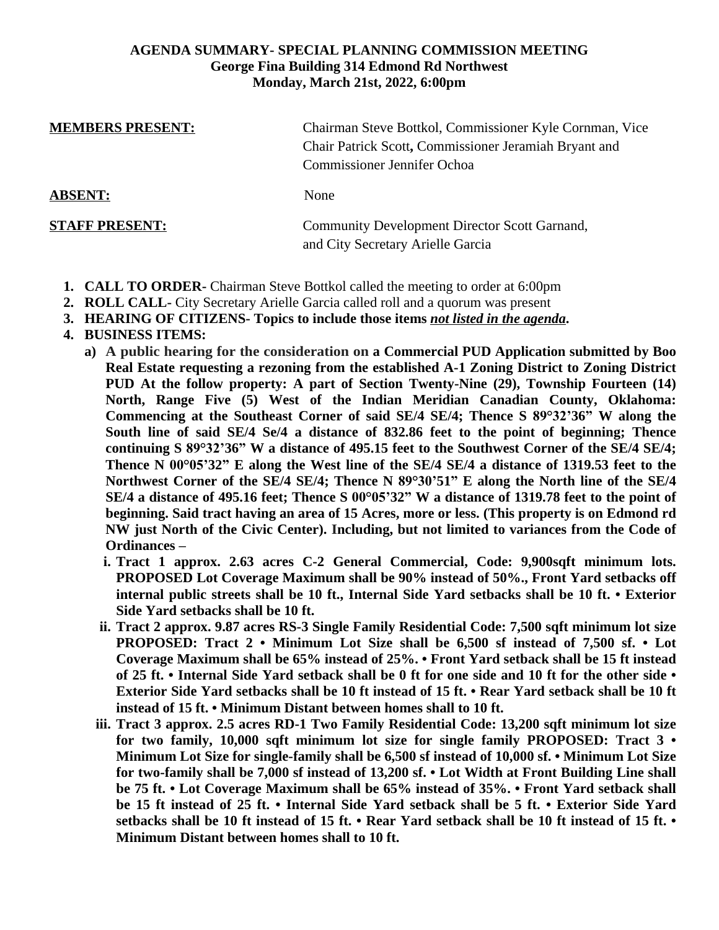#### **AGENDA SUMMARY- SPECIAL PLANNING COMMISSION MEETING George Fina Building 314 Edmond Rd Northwest Monday, March 21st, 2022, 6:00pm**

| <b>MEMBERS PRESENT:</b> | Chairman Steve Bottkol, Commissioner Kyle Cornman, Vice<br>Chair Patrick Scott, Commissioner Jeramiah Bryant and<br>Commissioner Jennifer Ochoa |
|-------------------------|-------------------------------------------------------------------------------------------------------------------------------------------------|
| <b>ABSENT:</b>          | None                                                                                                                                            |
| <b>STAFF PRESENT:</b>   | Community Development Director Scott Garnand,<br>and City Secretary Arielle Garcia                                                              |

- **1. CALL TO ORDER-** Chairman Steve Bottkol called the meeting to order at 6:00pm
- **2. ROLL CALL-** City Secretary Arielle Garcia called roll and a quorum was present
- **3. HEARING OF CITIZENS- Topics to include those items** *not listed in the agenda***.**
- **4. BUSINESS ITEMS:**
	- **a) A public hearing for the consideration on a Commercial PUD Application submitted by Boo Real Estate requesting a rezoning from the established A-1 Zoning District to Zoning District PUD At the follow property: A part of Section Twenty-Nine (29), Township Fourteen (14) North, Range Five (5) West of the Indian Meridian Canadian County, Oklahoma: Commencing at the Southeast Corner of said SE/4 SE/4; Thence S 89°32'36" W along the South line of said SE/4 Se/4 a distance of 832.86 feet to the point of beginning; Thence** continuing S  $89^{\circ}32^{\prime}36^{\prime\prime}$  W a distance of 495.15 feet to the Southwest Corner of the SE/4 SE/4; Thence N 00°05'32" E along the West line of the SE/4 SE/4 a distance of 1319.53 feet to the **Northwest Corner of the SE/4 SE/4; Thence N 89°30'51" E along the North line of the SE/4** SE/4 a distance of 495.16 feet; Thence S 00°05'32" W a distance of 1319.78 feet to the point of **beginning. Said tract having an area of 15 Acres, more or less. (This property is on Edmond rd NW just North of the Civic Center). Including, but not limited to variances from the Code of Ordinances –**
		- **i. Tract 1 approx. 2.63 acres C-2 General Commercial, Code: 9,900sqft minimum lots. PROPOSED Lot Coverage Maximum shall be 90% instead of 50%., Front Yard setbacks off internal public streets shall be 10 ft., Internal Side Yard setbacks shall be 10 ft. • Exterior Side Yard setbacks shall be 10 ft.**
		- **ii. Tract 2 approx. 9.87 acres RS-3 Single Family Residential Code: 7,500 sqft minimum lot size PROPOSED: Tract 2 • Minimum Lot Size shall be 6,500 sf instead of 7,500 sf. • Lot Coverage Maximum shall be 65% instead of 25%. • Front Yard setback shall be 15 ft instead** of 25 ft. • Internal Side Yard setback shall be 0 ft for one side and 10 ft for the other side • Exterior Side Yard setbacks shall be 10 ft instead of 15 ft. • Rear Yard setback shall be 10 ft **instead of 15 ft. • Minimum Distant between homes shall to 10 ft.**
		- **iii. Tract 3 approx. 2.5 acres RD-1 Two Family Residential Code: 13,200 sqft minimum lot size for two family, 10,000 sqft minimum lot size for single family PROPOSED: Tract 3 • Minimum Lot Size for single-family shall be 6,500 sf instead of 10,000 sf. • Minimum Lot Size for two-family shall be 7,000 sf instead of 13,200 sf. • Lot Width at Front Building Line shall be 75 ft. • Lot Coverage Maximum shall be 65% instead of 35%. • Front Yard setback shall** be 15 ft instead of 25 ft. • Internal Side Yard setback shall be 5 ft. • Exterior Side Yard setbacks shall be 10 ft instead of 15 ft. • Rear Yard setback shall be 10 ft instead of 15 ft. • **Minimum Distant between homes shall to 10 ft.**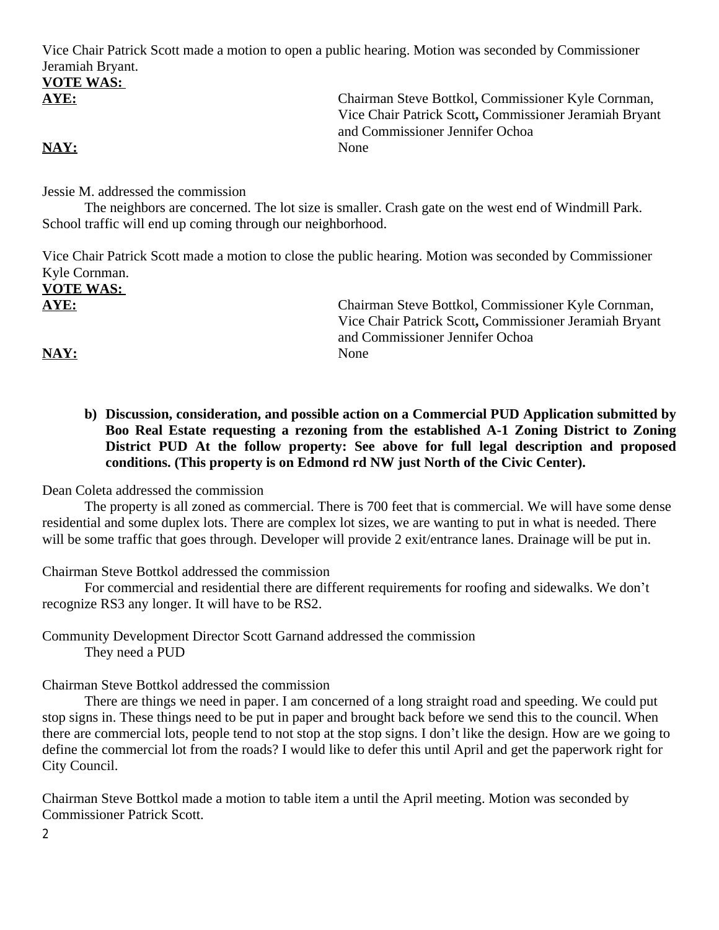Vice Chair Patrick Scott made a motion to open a public hearing. Motion was seconded by Commissioner Jeramiah Bryant.

# **VOTE WAS:**

**AYE:** Chairman Steve Bottkol, Commissioner Kyle Cornman, Vice Chair Patrick Scott**,** Commissioner Jeramiah Bryant and Commissioner Jennifer Ochoa

**NAY:** None

Jessie M. addressed the commission

The neighbors are concerned. The lot size is smaller. Crash gate on the west end of Windmill Park. School traffic will end up coming through our neighborhood.

Vice Chair Patrick Scott made a motion to close the public hearing. Motion was seconded by Commissioner Kyle Cornman.

**VOTE WAS:** 

**AYE:** Chairman Steve Bottkol, Commissioner Kyle Cornman, Vice Chair Patrick Scott**,** Commissioner Jeramiah Bryant and Commissioner Jennifer Ochoa

NAY: None

**b) Discussion, consideration, and possible action on a Commercial PUD Application submitted by Boo Real Estate requesting a rezoning from the established A-1 Zoning District to Zoning District PUD At the follow property: See above for full legal description and proposed conditions. (This property is on Edmond rd NW just North of the Civic Center).**

Dean Coleta addressed the commission

The property is all zoned as commercial. There is 700 feet that is commercial. We will have some dense residential and some duplex lots. There are complex lot sizes, we are wanting to put in what is needed. There will be some traffic that goes through. Developer will provide 2 exit/entrance lanes. Drainage will be put in.

Chairman Steve Bottkol addressed the commission

For commercial and residential there are different requirements for roofing and sidewalks. We don't recognize RS3 any longer. It will have to be RS2.

Community Development Director Scott Garnand addressed the commission They need a PUD

Chairman Steve Bottkol addressed the commission

There are things we need in paper. I am concerned of a long straight road and speeding. We could put stop signs in. These things need to be put in paper and brought back before we send this to the council. When there are commercial lots, people tend to not stop at the stop signs. I don't like the design. How are we going to define the commercial lot from the roads? I would like to defer this until April and get the paperwork right for City Council.

Chairman Steve Bottkol made a motion to table item a until the April meeting. Motion was seconded by Commissioner Patrick Scott.